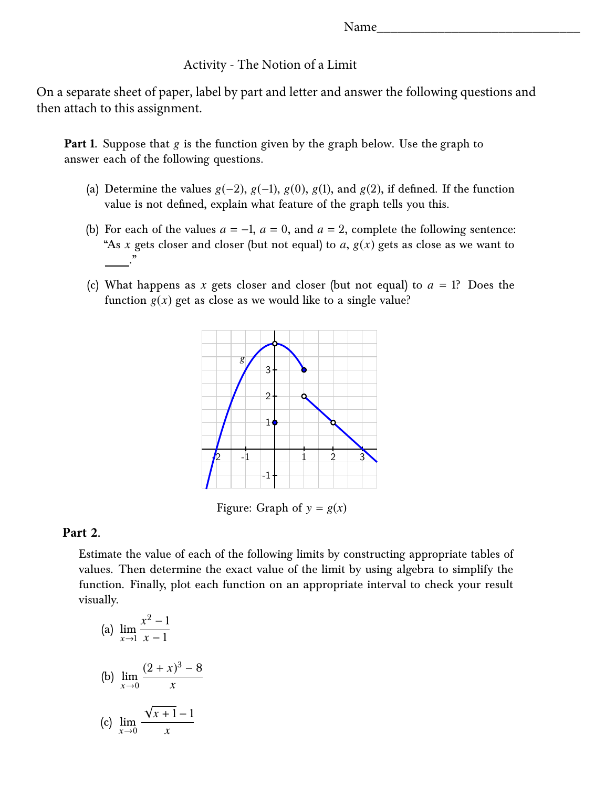## Activity - The Notion of a Limit

On a separate sheet of paper, label by part and letter and answer the following questions and then attach to this assignment.

**Part 1.** Suppose that g is the function given by the graph below. Use the graph to answer each of the following questions.

- (a) Determine the values  $g(-2)$ ,  $g(-1)$ ,  $g(0)$ ,  $g(1)$ , and  $g(2)$ , if defined. If the function value is not defined, explain what feature of the graph tells you this.
- (b) For each of the values  $a = -1$ ,  $a = 0$ , and  $a = 2$ , complete the following sentence: "As *x* gets closer and closer (but not equal) to *a*,  $g(x)$  gets as close as we want to ."
- (c) What happens as *x* gets closer and closer (but not equal) to *a* = 1? Does the function  $g(x)$  get as close as we would like to a single value?



Figure: Graph of  $y = g(x)$ 

## **Part 2.**

Estimate the value of each of the following limits by constructing appropriate tables of values. Then determine the exact value of the limit by using algebra to simplify the function. Finally, plot each function on an appropriate interval to check your result visually.

(a) 
$$
\lim_{x \to 1} \frac{x^2 - 1}{x - 1}
$$
  
\n(b)  $\lim_{x \to 0} \frac{(2 + x)^3 - 8}{x}$   
\n(c)  $\lim_{x \to 0} \frac{\sqrt{x + 1} - 1}{x}$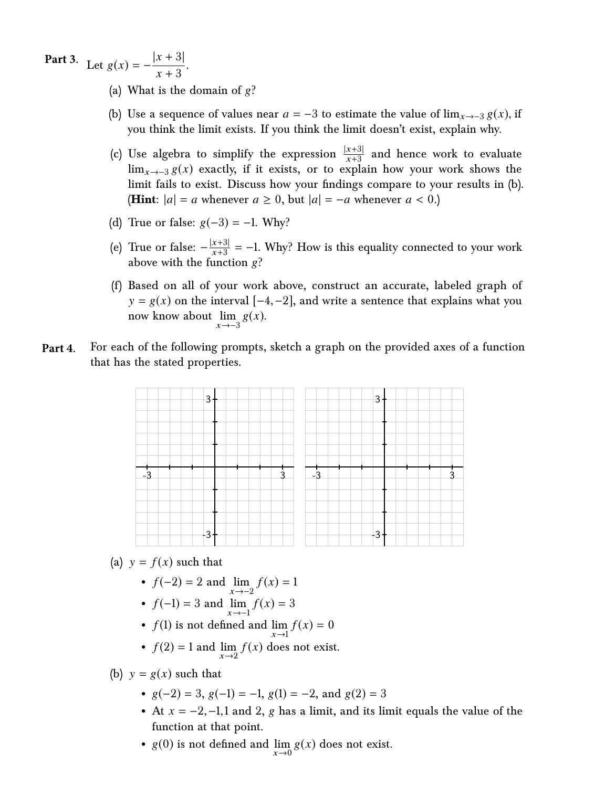**Part 3.** Let  $g(x) = -\frac{|x+3|}{|x+3|}$  $\frac{x+3}{x+3}$ .

- (a) What is the domain of  $g$ ?
- (b) Use a sequence of values near  $a = -3$  to estimate the value of  $\lim_{x \to -3} g(x)$ , if you think the limit exists. If you think the limit doesn't exist, explain why.
- $|x+3|$ (c) Use algebra to simplify the expression  $\frac{|x+3|}{x+3}$  and hence work to evaluate lim<sub>x→−3</sub> g(x) exactly, if it exists, or to explain how your work shows the limit fails to exist. Discuss how your findings compare to your results in (b). **(Hint:**  $|a| = a$  whenever  $a \ge 0$ , but  $|a| = -a$  whenever  $a < 0$ .)
- (d) True or false:  $g(-3) = -1$ . Why?
- (e) True or false:  $-\frac{|x|}{x}$ x + + 3  $\frac{3}{3}$  = -1. Why? How is this equality connected to your work | above with the function  $g$ ?
- (f) Based on all of your work above, construct an accurate, labeled graph of now know about  $\lim_{x \to -3} g(x)$ .  $y = g(x)$  on the interval  $[-4, -2]$ , and write a sentence that explains what you
- **Part 4.** For each of the following prompts, sketch a graph on the provided axes of a function that has the stated properties.



(a)  $y = f(x)$  such that

- $f(x) = 1$
- $f(-2) = 2$  and  $\lim_{x \to -2}$ <br>•  $f(-1) = 3$  and  $\lim_{x \to -1}$ .  $f(x) = 3$
- $f(1)$  is not defined and  $\lim_{x \to 1} f(x) = 0$
- $f(2) = 1$  and  $\lim_{x \to 2} f(x)$  does not exist.

(b)  $y = g(x)$  such that

- $g(-2) = 3$ ,  $g(-1) = -1$ ,  $g(1) = -2$ , and  $g(2) = 3$
- At  $x = -2, -1, 1$  and 2, g has a limit, and its limit equals the value of the function at that point.
- $g(0)$  is not defined and  $\lim_{x\to 0} g(x)$  does not exist.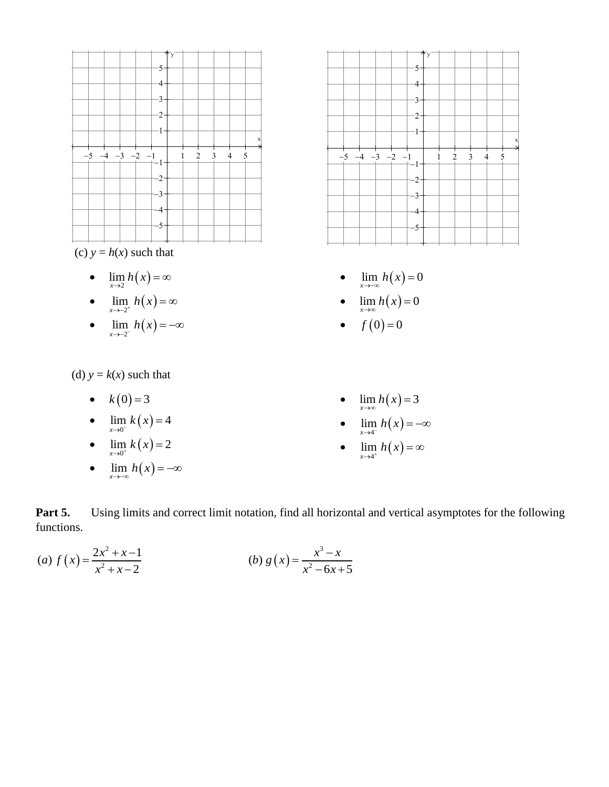



- $\bullet$   $\lim_{x\to 2} h(x) = \infty$
- $\bullet$   $\lim_{x \to -2^+} h(x) = \infty$
- $\bullet$   $\lim_{x \to -2^{-}} h(x) = -\infty$

(d)  $y = k(x)$  such that

- $k(0) = 3$
- $\lim_{x \to 0^{-}} k(x) = 4$
- $\lim_{x \to 0^+} k(x) = 2$
- $\cdot$   $\lim_{x \to -\infty} h(x) = -\infty$
- $-5$   $-4$   $-3$   $-2$   $-1$  | 1 2 3 4 5  $\overline{5}$  $\mathbf{A}$  $\cdot$ 3  $-2 -1 +$ 1  $-2$  $-3$  $-4$ 5 x y
	- $\lim_{x \to -\infty} h(x) = 0$
	- $\lim_{x\to\infty} h(x) = 0$
	- $f(0) = 0$
	- $\lim_{x\to\infty} h(x) = 3$
	- $\lim_{x \to 4^{-}} h(x) = -\infty$
	- $\bullet$   $\lim_{x \to 4^+} h(x) = \infty$

**Part 5.** Using limits and correct limit notation, find all horizontal and vertical asymptotes for the following functions.

(a) 
$$
f(x) = \frac{2x^2 + x - 1}{x^2 + x - 2}
$$
   
 (b)  $g(x) = \frac{x^3 - x}{x^2 - 6x + 5}$